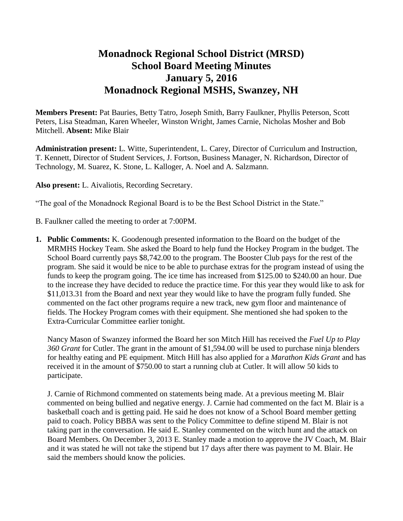# **Monadnock Regional School District (MRSD) School Board Meeting Minutes January 5, 2016 Monadnock Regional MSHS, Swanzey, NH**

**Members Present:** Pat Bauries, Betty Tatro, Joseph Smith, Barry Faulkner, Phyllis Peterson, Scott Peters, Lisa Steadman, Karen Wheeler, Winston Wright, James Carnie, Nicholas Mosher and Bob Mitchell. **Absent:** Mike Blair

**Administration present:** L. Witte, Superintendent, L. Carey, Director of Curriculum and Instruction, T. Kennett, Director of Student Services, J. Fortson, Business Manager, N. Richardson, Director of Technology, M. Suarez, K. Stone, L. Kalloger, A. Noel and A. Salzmann.

**Also present:** L. Aivaliotis, Recording Secretary.

"The goal of the Monadnock Regional Board is to be the Best School District in the State."

B. Faulkner called the meeting to order at 7:00PM.

**1. Public Comments:** K. Goodenough presented information to the Board on the budget of the MRMHS Hockey Team. She asked the Board to help fund the Hockey Program in the budget. The School Board currently pays \$8,742.00 to the program. The Booster Club pays for the rest of the program. She said it would be nice to be able to purchase extras for the program instead of using the funds to keep the program going. The ice time has increased from \$125.00 to \$240.00 an hour. Due to the increase they have decided to reduce the practice time. For this year they would like to ask for \$11,013.31 from the Board and next year they would like to have the program fully funded. She commented on the fact other programs require a new track, new gym floor and maintenance of fields. The Hockey Program comes with their equipment. She mentioned she had spoken to the Extra-Curricular Committee earlier tonight.

Nancy Mason of Swanzey informed the Board her son Mitch Hill has received the *Fuel Up to Play 360 Grant* for Cutler. The grant in the amount of \$1,594.00 will be used to purchase ninja blenders for healthy eating and PE equipment. Mitch Hill has also applied for a *Marathon Kids Grant* and has received it in the amount of \$750.00 to start a running club at Cutler. It will allow 50 kids to participate.

J. Carnie of Richmond commented on statements being made. At a previous meeting M. Blair commented on being bullied and negative energy. J. Carnie had commented on the fact M. Blair is a basketball coach and is getting paid. He said he does not know of a School Board member getting paid to coach. Policy BBBA was sent to the Policy Committee to define stipend M. Blair is not taking part in the conversation. He said E. Stanley commented on the witch hunt and the attack on Board Members. On December 3, 2013 E. Stanley made a motion to approve the JV Coach, M. Blair and it was stated he will not take the stipend but 17 days after there was payment to M. Blair. He said the members should know the policies.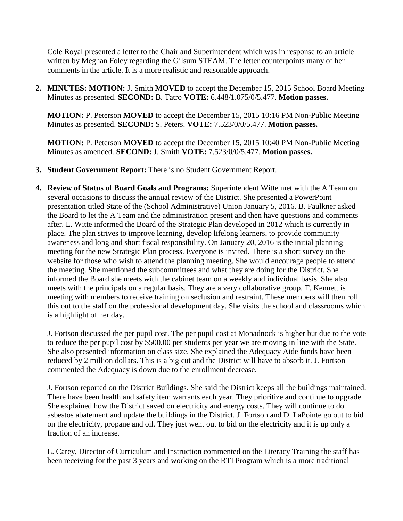Cole Royal presented a letter to the Chair and Superintendent which was in response to an article written by Meghan Foley regarding the Gilsum STEAM. The letter counterpoints many of her comments in the article. It is a more realistic and reasonable approach.

**2. MINUTES: MOTION:** J. Smith **MOVED** to accept the December 15, 2015 School Board Meeting Minutes as presented. **SECOND:** B. Tatro **VOTE:** 6.448/1.075/0/5.477. **Motion passes.**

**MOTION:** P. Peterson **MOVED** to accept the December 15, 2015 10:16 PM Non-Public Meeting Minutes as presented. **SECOND:** S. Peters. **VOTE:** 7.523/0/0/5.477. **Motion passes.** 

**MOTION:** P. Peterson **MOVED** to accept the December 15, 2015 10:40 PM Non-Public Meeting Minutes as amended. **SECOND:** J. Smith **VOTE:** 7.523/0/0/5.477. **Motion passes.** 

- **3. Student Government Report:** There is no Student Government Report.
- **4. Review of Status of Board Goals and Programs:** Superintendent Witte met with the A Team on several occasions to discuss the annual review of the District. She presented a PowerPoint presentation titled State of the (School Administrative) Union January 5, 2016. B. Faulkner asked the Board to let the A Team and the administration present and then have questions and comments after. L. Witte informed the Board of the Strategic Plan developed in 2012 which is currently in place. The plan strives to improve learning, develop lifelong learners, to provide community awareness and long and short fiscal responsibility. On January 20, 2016 is the initial planning meeting for the new Strategic Plan process. Everyone is invited. There is a short survey on the website for those who wish to attend the planning meeting. She would encourage people to attend the meeting. She mentioned the subcommittees and what they are doing for the District. She informed the Board she meets with the cabinet team on a weekly and individual basis. She also meets with the principals on a regular basis. They are a very collaborative group. T. Kennett is meeting with members to receive training on seclusion and restraint. These members will then roll this out to the staff on the professional development day. She visits the school and classrooms which is a highlight of her day.

J. Fortson discussed the per pupil cost. The per pupil cost at Monadnock is higher but due to the vote to reduce the per pupil cost by \$500.00 per students per year we are moving in line with the State. She also presented information on class size. She explained the Adequacy Aide funds have been reduced by 2 million dollars. This is a big cut and the District will have to absorb it. J. Fortson commented the Adequacy is down due to the enrollment decrease.

J. Fortson reported on the District Buildings. She said the District keeps all the buildings maintained. There have been health and safety item warrants each year. They prioritize and continue to upgrade. She explained how the District saved on electricity and energy costs. They will continue to do asbestos abatement and update the buildings in the District. J. Fortson and D. LaPointe go out to bid on the electricity, propane and oil. They just went out to bid on the electricity and it is up only a fraction of an increase.

L. Carey, Director of Curriculum and Instruction commented on the Literacy Training the staff has been receiving for the past 3 years and working on the RTI Program which is a more traditional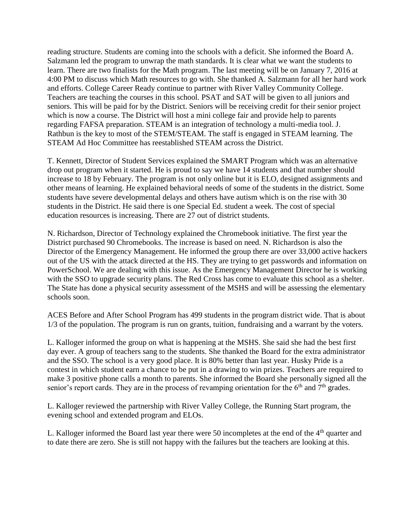reading structure. Students are coming into the schools with a deficit. She informed the Board A. Salzmann led the program to unwrap the math standards. It is clear what we want the students to learn. There are two finalists for the Math program. The last meeting will be on January 7, 2016 at 4:00 PM to discuss which Math resources to go with. She thanked A. Salzmann for all her hard work and efforts. College Career Ready continue to partner with River Valley Community College. Teachers are teaching the courses in this school. PSAT and SAT will be given to all juniors and seniors. This will be paid for by the District. Seniors will be receiving credit for their senior project which is now a course. The District will host a mini college fair and provide help to parents regarding FAFSA preparation. STEAM is an integration of technology a multi-media tool. J. Rathbun is the key to most of the STEM/STEAM. The staff is engaged in STEAM learning. The STEAM Ad Hoc Committee has reestablished STEAM across the District.

T. Kennett, Director of Student Services explained the SMART Program which was an alternative drop out program when it started. He is proud to say we have 14 students and that number should increase to 18 by February. The program is not only online but it is ELO, designed assignments and other means of learning. He explained behavioral needs of some of the students in the district. Some students have severe developmental delays and others have autism which is on the rise with 30 students in the District. He said there is one Special Ed. student a week. The cost of special education resources is increasing. There are 27 out of district students.

N. Richardson, Director of Technology explained the Chromebook initiative. The first year the District purchased 90 Chromebooks. The increase is based on need. N. Richardson is also the Director of the Emergency Management. He informed the group there are over 33,000 active hackers out of the US with the attack directed at the HS. They are trying to get passwords and information on PowerSchool. We are dealing with this issue. As the Emergency Management Director he is working with the SSO to upgrade security plans. The Red Cross has come to evaluate this school as a shelter. The State has done a physical security assessment of the MSHS and will be assessing the elementary schools soon.

ACES Before and After School Program has 499 students in the program district wide. That is about 1/3 of the population. The program is run on grants, tuition, fundraising and a warrant by the voters.

L. Kalloger informed the group on what is happening at the MSHS. She said she had the best first day ever. A group of teachers sang to the students. She thanked the Board for the extra administrator and the SSO. The school is a very good place. It is 80% better than last year. Husky Pride is a contest in which student earn a chance to be put in a drawing to win prizes. Teachers are required to make 3 positive phone calls a month to parents. She informed the Board she personally signed all the senior's report cards. They are in the process of revamping orientation for the  $6<sup>th</sup>$  and  $7<sup>th</sup>$  grades.

L. Kalloger reviewed the partnership with River Valley College, the Running Start program, the evening school and extended program and ELOs.

L. Kalloger informed the Board last year there were 50 incompletes at the end of the  $4<sup>th</sup>$  quarter and to date there are zero. She is still not happy with the failures but the teachers are looking at this.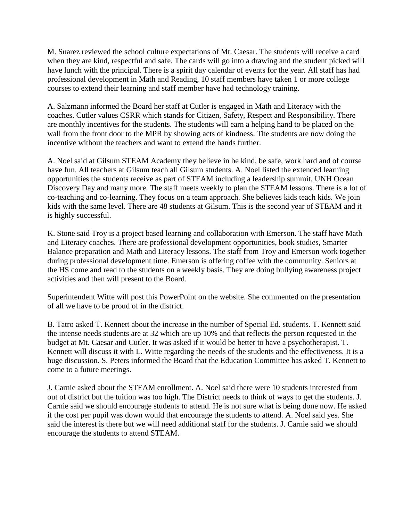M. Suarez reviewed the school culture expectations of Mt. Caesar. The students will receive a card when they are kind, respectful and safe. The cards will go into a drawing and the student picked will have lunch with the principal. There is a spirit day calendar of events for the year. All staff has had professional development in Math and Reading, 10 staff members have taken 1 or more college courses to extend their learning and staff member have had technology training.

A. Salzmann informed the Board her staff at Cutler is engaged in Math and Literacy with the coaches. Cutler values CSRR which stands for Citizen, Safety, Respect and Responsibility. There are monthly incentives for the students. The students will earn a helping hand to be placed on the wall from the front door to the MPR by showing acts of kindness. The students are now doing the incentive without the teachers and want to extend the hands further.

A. Noel said at Gilsum STEAM Academy they believe in be kind, be safe, work hard and of course have fun. All teachers at Gilsum teach all Gilsum students. A. Noel listed the extended learning opportunities the students receive as part of STEAM including a leadership summit, UNH Ocean Discovery Day and many more. The staff meets weekly to plan the STEAM lessons. There is a lot of co-teaching and co-learning. They focus on a team approach. She believes kids teach kids. We join kids with the same level. There are 48 students at Gilsum. This is the second year of STEAM and it is highly successful.

K. Stone said Troy is a project based learning and collaboration with Emerson. The staff have Math and Literacy coaches. There are professional development opportunities, book studies, Smarter Balance preparation and Math and Literacy lessons. The staff from Troy and Emerson work together during professional development time. Emerson is offering coffee with the community. Seniors at the HS come and read to the students on a weekly basis. They are doing bullying awareness project activities and then will present to the Board.

Superintendent Witte will post this PowerPoint on the website. She commented on the presentation of all we have to be proud of in the district.

B. Tatro asked T. Kennett about the increase in the number of Special Ed. students. T. Kennett said the intense needs students are at 32 which are up 10% and that reflects the person requested in the budget at Mt. Caesar and Cutler. It was asked if it would be better to have a psychotherapist. T. Kennett will discuss it with L. Witte regarding the needs of the students and the effectiveness. It is a huge discussion. S. Peters informed the Board that the Education Committee has asked T. Kennett to come to a future meetings.

J. Carnie asked about the STEAM enrollment. A. Noel said there were 10 students interested from out of district but the tuition was too high. The District needs to think of ways to get the students. J. Carnie said we should encourage students to attend. He is not sure what is being done now. He asked if the cost per pupil was down would that encourage the students to attend. A. Noel said yes. She said the interest is there but we will need additional staff for the students. J. Carnie said we should encourage the students to attend STEAM.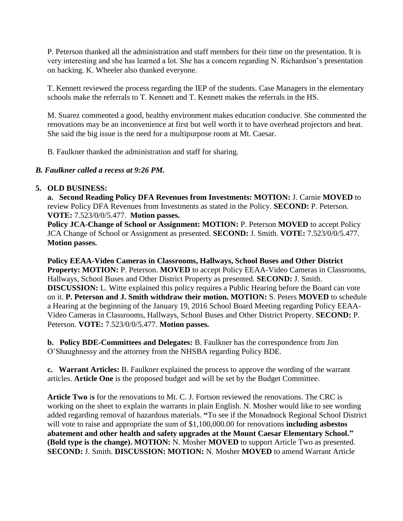P. Peterson thanked all the administration and staff members for their time on the presentation. It is very interesting and she has learned a lot. She has a concern regarding N. Richardson's presentation on hacking. K. Wheeler also thanked everyone.

T. Kennett reviewed the process regarding the IEP of the students. Case Managers in the elementary schools make the referrals to T. Kennett and T. Kennett makes the referrals in the HS.

M. Suarez commented a good, healthy environment makes education conducive. She commented the renovations may be an inconvenience at first but well worth it to have overhead projectors and heat. She said the big issue is the need for a multipurpose room at Mt. Caesar.

B. Faulkner thanked the administration and staff for sharing.

### *B. Faulkner called a recess at 9:26 PM.*

### **5. OLD BUSINESS:**

**a. Second Reading Policy DFA Revenues from Investments: MOTION:** J. Carnie **MOVED** to review Policy DFA Revenues from Investments as stated in the Policy. **SECOND:** P. Peterson. **VOTE:** 7.523/0/0/5.477. **Motion passes.** 

**Policy JCA-Change of School or Assignment: MOTION:** P. Peterson **MOVED** to accept Policy JCA Change of School or Assignment as presented. **SECOND:** J. Smith. **VOTE:** 7.523/0/0/5.477. **Motion passes.** 

**Policy EEAA-Video Cameras in Classrooms, Hallways, School Buses and Other District Property: MOTION:** P. Peterson. **MOVED** to accept Policy EEAA-Video Cameras in Classrooms, Hallways, School Buses and Other District Property as presented. **SECOND:** J. Smith. **DISCUSSION:** L. Witte explained this policy requires a Public Hearing before the Board can vote on it. **P. Peterson and J. Smith withdraw their motion. MOTION:** S. Peters **MOVED** to schedule a Hearing at the beginning of the January 19, 2016 School Board Meeting regarding Policy EEAA-Video Cameras in Classrooms, Hallways, School Buses and Other District Property. **SECOND:** P. Peterson. **VOTE:** 7.523/0/0/5.477. **Motion passes.** 

**b. Policy BDE-Committees and Delegates:** B. Faulkner has the correspondence from Jim O'Shaughnessy and the attorney from the NHSBA regarding Policy BDE.

**c. Warrant Articles:** B. Faulkner explained the process to approve the wording of the warrant articles. **Article One** is the proposed budget and will be set by the Budget Committee.

**Article Two** i**s** for the renovations to Mt. C. J. Fortson reviewed the renovations. The CRC is working on the sheet to explain the warrants in plain English. N. Mosher would like to see wording added regarding removal of hazardous materials. **"**To see if the Monadnock Regional School District will vote to raise and appropriate the sum of \$1,100,000.00 for renovations **including asbestos abatement and other health and safety upgrades at the Mount Caesar Elementary School." (Bold type is the change). MOTION:** N. Mosher **MOVED** to support Article Two as presented. **SECOND:** J. Smith. **DISCUSSION: MOTION:** N. Mosher **MOVED** to amend Warrant Article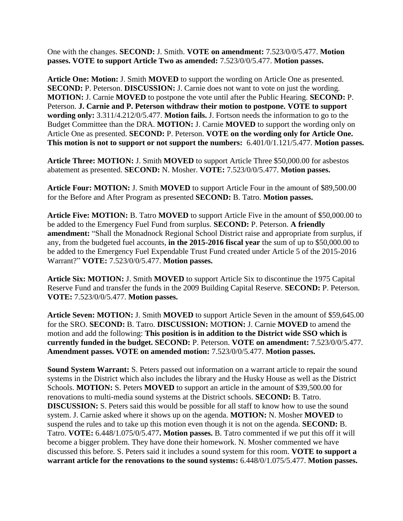One with the changes. **SECOND:** J. Smith. **VOTE on amendment:** 7.523/0/0/5.477. **Motion passes. VOTE to support Article Two as amended:** 7.523/0/0/5.477. **Motion passes.**

**Article One: Motion:** J. Smith **MOVED** to support the wording on Article One as presented. **SECOND:** P. Peterson. **DISCUSSION:** J. Carnie does not want to vote on just the wording. **MOTION:** J. Carnie **MOVED** to postpone the vote until after the Public Hearing. **SECOND:** P. Peterson. **J. Carnie and P. Peterson withdraw their motion to postpone. VOTE to support wording only:** 3.311/4.212/0/5.477. **Motion fails.** J. Fortson needs the information to go to the Budget Committee than the DRA. **MOTION:** J. Carnie **MOVED** to support the wording only on Article One as presented. **SECOND:** P. Peterson. **VOTE on the wording only for Article One. This motion is not to support or not support the numbers:** 6.401/0/1.121/5.477. **Motion passes.** 

**Article Three: MOTION:** J. Smith **MOVED** to support Article Three \$50,000.00 for asbestos abatement as presented. **SECOND:** N. Mosher. **VOTE:** 7.523/0/0/5.477. **Motion passes.**

**Article Four: MOTION:** J. Smith **MOVED** to support Article Four in the amount of \$89,500.00 for the Before and After Program as presented **SECOND:** B. Tatro. **Motion passes.** 

**Article Five: MOTION:** B. Tatro **MOVED** to support Article Five in the amount of \$50,000.00 to be added to the Emergency Fuel Fund from surplus. **SECOND:** P. Peterson. **A friendly amendment:** "Shall the Monadnock Regional School District raise and appropriate from surplus, if any, from the budgeted fuel accounts, **in the 2015-2016 fiscal year** the sum of up to \$50,000.00 to be added to the Emergency Fuel Expendable Trust Fund created under Article 5 of the 2015-2016 Warrant?" **VOTE:** 7.523/0/0/5.477. **Motion passes.** 

**Article Six: MOTION:** J. Smith **MOVED** to support Article Six to discontinue the 1975 Capital Reserve Fund and transfer the funds in the 2009 Building Capital Reserve. **SECOND:** P. Peterson. **VOTE:** 7.523/0/0/5.477. **Motion passes.** 

**Article Seven: MOTION:** J. Smith **MOVED** to support Article Seven in the amount of \$59,645.00 for the SRO. **SECOND:** B. Tatro. **DISCUSSION:** MO**TION:** J. Carnie **MOVED** to amend the motion and add the following: **This position is in addition to the District wide SSO which is currently funded in the budget. SECOND:** P. Peterson. **VOTE on amendment:** 7.523/0/0/5.477. **Amendment passes. VOTE on amended motion:** 7.523/0/0/5.477. **Motion passes.** 

**Sound System Warrant:** S. Peters passed out information on a warrant article to repair the sound systems in the District which also includes the library and the Husky House as well as the District Schools. **MOTION:** S. Peters **MOVED** to support an article in the amount of \$39,500.00 for renovations to multi-media sound systems at the District schools. **SECOND:** B. Tatro. **DISCUSSION:** S. Peters said this would be possible for all staff to know how to use the sound system. J. Carnie asked where it shows up on the agenda. **MOTION:** N. Mosher **MOVED** to suspend the rules and to take up this motion even though it is not on the agenda. **SECOND:** B. Tatro. **VOTE:** 6.448/1.075/0/5.477**. Motion passes.** B. Tatro commented if we put this off it will become a bigger problem. They have done their homework. N. Mosher commented we have discussed this before. S. Peters said it includes a sound system for this room. **VOTE to support a warrant article for the renovations to the sound systems:** 6.448/0/1.075/5.477. **Motion passes.**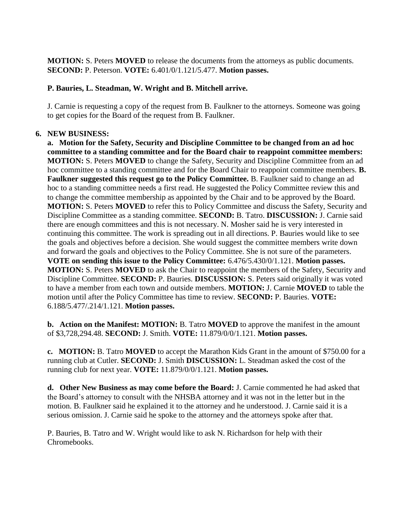**MOTION:** S. Peters **MOVED** to release the documents from the attorneys as public documents. **SECOND:** P. Peterson. **VOTE:** 6.401/0/1.121/5.477. **Motion passes.** 

### **P. Bauries, L. Steadman, W. Wright and B. Mitchell arrive.**

J. Carnie is requesting a copy of the request from B. Faulkner to the attorneys. Someone was going to get copies for the Board of the request from B. Faulkner.

### **6. NEW BUSINESS:**

 **a. Motion for the Safety, Security and Discipline Committee to be changed from an ad hoc committee to a standing committee and for the Board chair to reappoint committee members: MOTION:** S. Peters **MOVED** to change the Safety, Security and Discipline Committee from an ad hoc committee to a standing committee and for the Board Chair to reappoint committee members. **B. Faulkner suggested this request go to the Policy Committee.** B. Faulkner said to change an ad hoc to a standing committee needs a first read. He suggested the Policy Committee review this and to change the committee membership as appointed by the Chair and to be approved by the Board. **MOTION:** S. Peters **MOVED** to refer this to Policy Committee and discuss the Safety, Security and Discipline Committee as a standing committee. **SECOND:** B. Tatro. **DISCUSSION:** J. Carnie said there are enough committees and this is not necessary. N. Mosher said he is very interested in continuing this committee. The work is spreading out in all directions. P. Bauries would like to see the goals and objectives before a decision. She would suggest the committee members write down and forward the goals and objectives to the Policy Committee. She is not sure of the parameters. **VOTE on sending this issue to the Policy Committee:** 6.476/5.430/0/1.121. **Motion passes. MOTION:** S. Peters **MOVED** to ask the Chair to reappoint the members of the Safety, Security and Discipline Committee. **SECOND:** P. Bauries. **DISCUSSION:** S. Peters said originally it was voted to have a member from each town and outside members. **MOTION:** J. Carnie **MOVED** to table the motion until after the Policy Committee has time to review. **SECOND:** P. Bauries. **VOTE:**  6.188/5.477/.214/1.121. **Motion passes.** 

 **b. Action on the Manifest: MOTION:** B. Tatro **MOVED** to approve the manifest in the amount of \$3,728,294.48. **SECOND:** J. Smith. **VOTE:** 11.879/0/0/1.121. **Motion passes.** 

 **c. MOTION:** B. Tatro **MOVED** to accept the Marathon Kids Grant in the amount of \$750.00 for a running club at Cutler. **SECOND:** J. Smith **DISCUSSION:** L. Steadman asked the cost of the running club for next year. **VOTE:** 11.879/0/0/1.121. **Motion passes.** 

 **d. Other New Business as may come before the Board:** J. Carnie commented he had asked that the Board's attorney to consult with the NHSBA attorney and it was not in the letter but in the motion. B. Faulkner said he explained it to the attorney and he understood. J. Carnie said it is a serious omission. J. Carnie said he spoke to the attorney and the attorneys spoke after that.

P. Bauries, B. Tatro and W. Wright would like to ask N. Richardson for help with their Chromebooks.